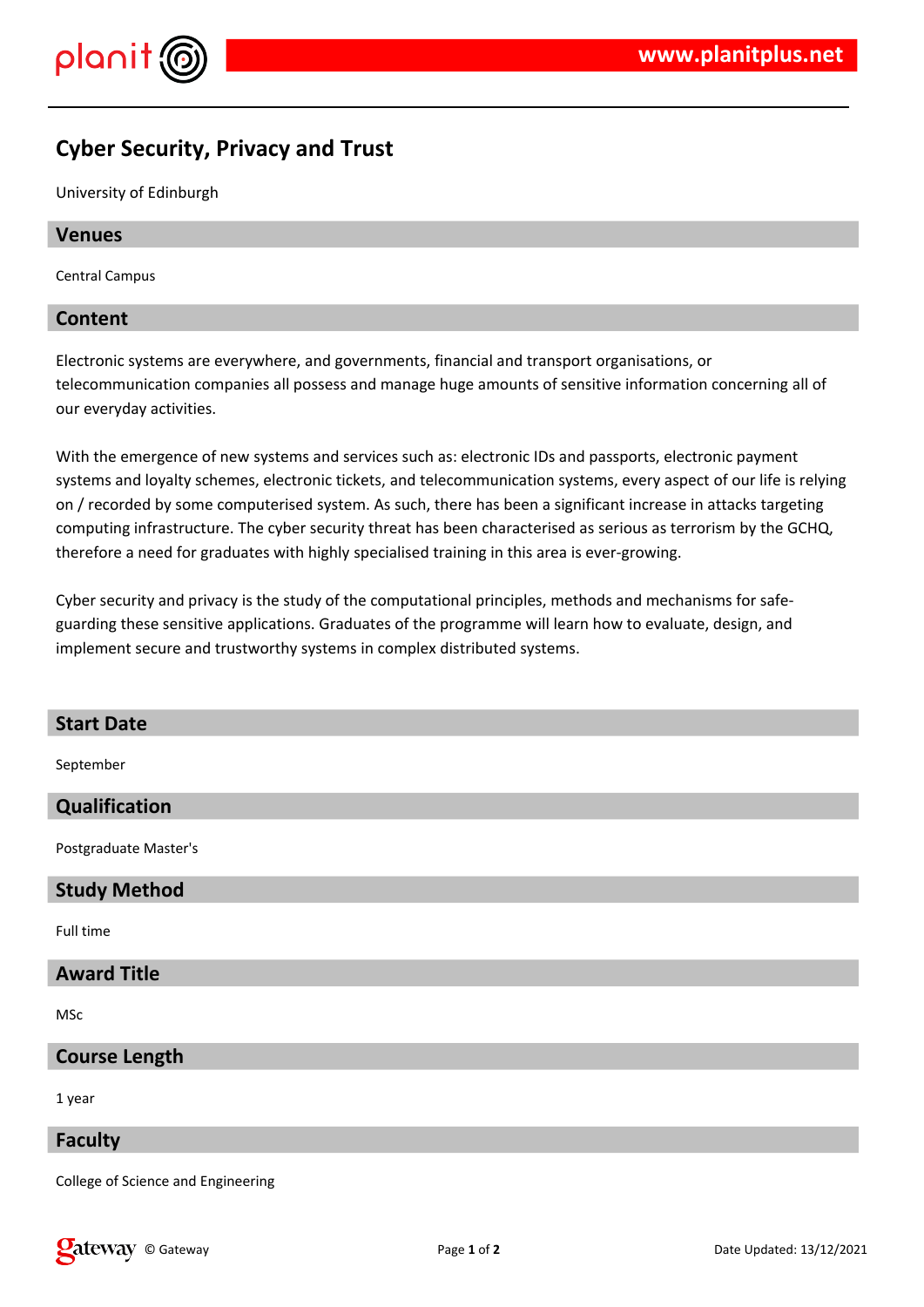

# **Cyber Security, Privacy and Trust**

University of Edinburgh

### **Venues**

Central Campus

### **Content**

Electronic systems are everywhere, and governments, financial and transport organisations, or telecommunication companies all possess and manage huge amounts of sensitive information concerning all of our everyday activities.

With the emergence of new systems and services such as: electronic IDs and passports, electronic payment systems and loyalty schemes, electronic tickets, and telecommunication systems, every aspect of our life is relying on / recorded by some computerised system. As such, there has been a significant increase in attacks targeting computing infrastructure. The cyber security threat has been characterised as serious as terrorism by the GCHQ, therefore a need for graduates with highly specialised training in this area is ever-growing.

Cyber security and privacy is the study of the computational principles, methods and mechanisms for safeguarding these sensitive applications. Graduates of the programme will learn how to evaluate, design, and implement secure and trustworthy systems in complex distributed systems.

### **Start Date**

September

### **Qualification**

Postgraduate Master's

### **Study Method**

Full time

## **Award Title**

MSc

### **Course Length**

1 year

### **Faculty**

College of Science and Engineering

**Call EXECURI** Controller Updated: 13/12/2021 **Page 1** of **2 Date Updated: 13/12/2021**